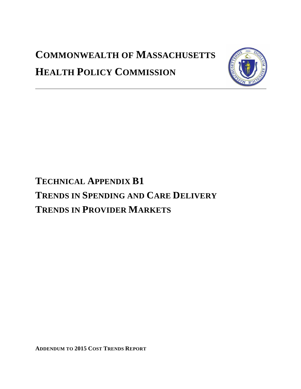# **COMMONWEALTH OF MASSACHUSETTS HEALTH POLICY COMMISSION**



# **TECHNICAL APPENDIX B1 TRENDS IN SPENDING AND CARE DELIVERY TRENDS IN PROVIDER MARKETS**

**ADDENDUM TO 2015 COST TRENDS REPORT**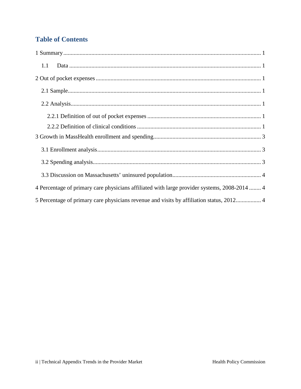# **Table of Contents**

| 1.1                                                                                          |
|----------------------------------------------------------------------------------------------|
|                                                                                              |
|                                                                                              |
|                                                                                              |
|                                                                                              |
|                                                                                              |
|                                                                                              |
|                                                                                              |
|                                                                                              |
|                                                                                              |
| 4 Percentage of primary care physicians affiliated with large provider systems, 2008-2014  4 |
| 5 Percentage of primary care physicians revenue and visits by affiliation status, 20124      |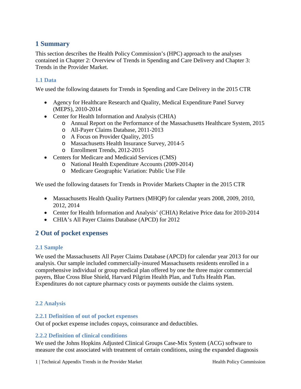## <span id="page-2-0"></span>**1 Summary**

This section describes the Health Policy Commission's (HPC) approach to the analyses contained in Chapter 2: Overview of Trends in Spending and Care Delivery and Chapter 3: Trends in the Provider Market.

#### <span id="page-2-1"></span>**1.1 Data**

We used the following datasets for Trends in Spending and Care Delivery in the 2015 CTR

- Agency for Healthcare Research and Quality, Medical Expenditure Panel Survey (MEPS), 2010-2014
- Center for Health Information and Analysis (CHIA)
	- o Annual Report on the Performance of the Massachusetts Healthcare System, 2015
	- o All-Payer Claims Database, 2011-2013
	- o A Focus on Provider Quality, 2015
	- o Massachusetts Health Insurance Survey, 2014-5
	- o Enrollment Trends, 2012-2015
- Centers for Medicare and Medicaid Services (CMS)
	- o National Health Expenditure Accounts (2009-2014)
	- o Medicare Geographic Variation: Public Use File

We used the following datasets for Trends in Provider Markets Chapter in the 2015 CTR

- Massachusetts Health Quality Partners (MHQP) for calendar years 2008, 2009, 2010, 2012, 2014
- Center for Health Information and Analysis' (CHIA) Relative Price data for 2010-2014
- CHIA's All Payer Claims Database (APCD) for 2012

## <span id="page-2-2"></span>**2 Out of pocket expenses**

#### <span id="page-2-3"></span>**2.1 Sample**

We used the Massachusetts All Payer Claims Database (APCD) for calendar year 2013 for our analysis. Our sample included commercially-insured Massachusetts residents enrolled in a comprehensive individual or group medical plan offered by one the three major commercial payers, Blue Cross Blue Shield, Harvard Pilgrim Health Plan, and Tufts Health Plan. Expenditures do not capture pharmacy costs or payments outside the claims system.

#### <span id="page-2-4"></span>**2.2 Analysis**

#### <span id="page-2-5"></span>**2.2.1 Definition of out of pocket expenses**

Out of pocket expense includes copays, coinsurance and deductibles.

#### <span id="page-2-6"></span>**2.2.2 Definition of clinical conditions**

We used the Johns Hopkins Adjusted Clinical Groups Case-Mix System (ACG) software to measure the cost associated with treatment of certain conditions, using the expanded diagnosis

1 | Technical Appendix Trends in the Provider Market Health Policy Commission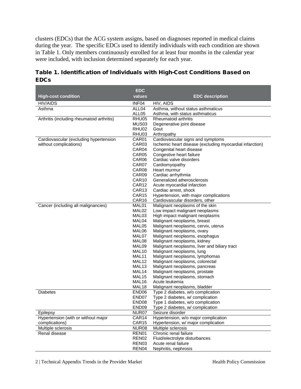clusters (EDCs) that the ACG system assigns, based on diagnoses reported in medical claims during the year. The specific EDCs used to identify individuals with each condition are shown in Table 1. Only members continuously enrolled for at least four months in the calendar year were included, with inclusion determined separately for each year.

|                                            | <b>EDC</b>                 |                                                                           |
|--------------------------------------------|----------------------------|---------------------------------------------------------------------------|
| <b>High-cost condition</b>                 | values                     | <b>EDC</b> description                                                    |
| <b>HIV/AIDS</b>                            | INF04                      | HIV, AIDS                                                                 |
| Asthma                                     | ALL04                      | Asthma, without status asthmaticus                                        |
|                                            | ALL05                      | Asthma, with status asthmaticus                                           |
| Arthritis (including rheumatoid arthritis) | RHU05                      | Rheumatoid arthritis                                                      |
|                                            | MUS03                      | Degenerative joint disease                                                |
|                                            | RHU02                      | Gout                                                                      |
|                                            | RHU03                      | Arthropathy                                                               |
| Cardiovascular (excluding hypertension     | CAR01                      | Cardiovascular signs and symptoms                                         |
| without complications)                     | CAR <sub>03</sub>          | Ischemic heart disease (excluding myocardial infarction)                  |
|                                            | CAR04                      | Congenital heart disease                                                  |
|                                            | CAR05                      | Congestive heart failure                                                  |
|                                            | CAR06                      | Cardiac valve disorders                                                   |
|                                            | CAR07                      | Cardiomyopathy                                                            |
|                                            | CAR08                      | Heart murmur                                                              |
|                                            | CAR09                      | Cardiac arrhythmia                                                        |
|                                            | CAR <sub>10</sub>          | Generalized atherosclerosis                                               |
|                                            | CAR <sub>12</sub>          | Acute myocardial infarction                                               |
|                                            | CAR13<br>CAR <sub>15</sub> | Cardiac arrest, shock                                                     |
|                                            | CAR16                      | Hypertension, with major complications<br>Cardiovascular disorders, other |
| Cancer (including all malignancies)        | MAL01                      | Malignant neoplasms of the skin                                           |
|                                            | MAL02                      | Low impact malignant neoplasms                                            |
|                                            | MAL03                      | High impact malignant neoplasms                                           |
|                                            | MAL04                      | Malignant neoplasms, breast                                               |
|                                            | MAL05                      | Malignant neoplasms, cervix, uterus                                       |
|                                            | MAL06                      | Malignant neoplasms, ovary                                                |
|                                            | MAL07                      | Malignant neoplasms, esophagus                                            |
|                                            | MAL08                      | Malignant neoplasms, kidney                                               |
|                                            | MAL09                      | Malignant neoplasms, liver and biliary tract                              |
|                                            | MAL <sub>10</sub>          | Malignant neoplasms, lung                                                 |
|                                            | MAL11                      | Malignant neoplasms, lymphomas                                            |
|                                            | MAL <sub>12</sub>          | Malignant neoplasms, colorectal                                           |
|                                            | MAL <sub>13</sub>          | Malignant neoplasms, pancreas                                             |
|                                            | MAL14                      | Malignant neoplasms, prostate                                             |
|                                            | MAL <sub>15</sub>          | Malignant neoplasms, stomach                                              |
|                                            | MAL16                      | Acute leukemia                                                            |
|                                            | MAL <sub>18</sub>          | Malignant neoplasms, bladder                                              |
| <b>Diabetes</b>                            | END <sub>06</sub>          | Type 2 diabetes, w/o complication                                         |
|                                            | END07                      | Type 2 diabetes, w/ complication                                          |
|                                            | END <sub>08</sub><br>END09 | Type 1 diabetes, w/o complication                                         |
| Epilepsy                                   | NUR07                      | Type 2 diabetes, w/ complication<br>Seizure disorder                      |
| Hypertension (with or without major        | CAR14                      | Hypertension, w/o major complication                                      |
| complications)                             | CAR15                      | Hypertension, w/ major complication                                       |
| Multiple sclerosis                         | NUR08                      | Multiple sclerosis                                                        |
| Renal disease                              | REN01                      | Chronic renal failure                                                     |
|                                            | REN <sub>02</sub>          | Fluid/electrolyte disturbances                                            |
|                                            | REN03                      | Acute renal failure                                                       |
|                                            | REN04                      | Nephritis, nephrosis                                                      |

## Table 1. Identification of Individuals with High-Cost Conditions Based on EDCs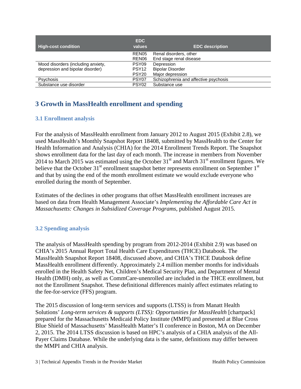| <b>High-cost condition</b>         | EDC.<br>values    | <b>EDC</b> description                |
|------------------------------------|-------------------|---------------------------------------|
|                                    | REN <sub>05</sub> | Renal disorders, other                |
|                                    | REN06             | End stage renal disease               |
| Mood disorders (including anxiety, | PSY09             | Depression                            |
| depression and bipolar disorder)   | PSY <sub>12</sub> | <b>Bipolar Disorder</b>               |
|                                    | PSY <sub>20</sub> | Major depression                      |
| <b>Psychosis</b>                   | PSY <sub>07</sub> | Schizophrenia and affective psychosis |
| Substance use disorder             | PSY <sub>02</sub> | Substance use                         |

## <span id="page-4-0"></span>**3 Growth in MassHealth enrollment and spending**

### <span id="page-4-1"></span>**3.1 Enrollment analysis**

For the analysis of MassHealth enrollment from January 2012 to August 2015 (Exhibit 2.8), we used MassHealth's Monthly Snapshot Report 18408, submitted by MassHealth to the Center for Health Information and Analysis (CHIA) for the 2014 Enrollment Trends Report. The Snapshot shows enrollment data for the last day of each month. The increase in members from November 2014 to March 2015 was estimated using the October  $31<sup>st</sup>$  and March  $31<sup>st</sup>$  enrollment figures. We believe that the October  $31<sup>st</sup>$  enrollment snapshot better represents enrollment on September  $1<sup>st</sup>$ and that by using the end of the month enrollment estimate we would exclude everyone who enrolled during the month of September.

Estimates of the declines in other programs that offset MassHealth enrollment increases are based on data from Health Management Associate's *Implementing the Affordable Care Act in Massachusetts: Changes in Subsidized Coverage Programs,* published August 2015.

## <span id="page-4-2"></span>**3.2 Spending analysis**

The analysis of MassHealth spending by program from 2012-2014 (Exhibit 2.9) was based on CHIA's 2015 Annual Report Total Health Care Expenditures (THCE) Databook. The MassHealth Snapshot Report 18408, discussed above, and CHIA's THCE Databook define MassHealth enrollment differently. Approximately 2.4 million member months for individuals enrolled in the Health Safety Net, Children's Medical Security Plan, and Department of Mental Health (DMH) only, as well as CommCare-unenrolled are included in the THCE enrollment, but not the Enrollment Snapshot. These definitional differences mainly affect estimates relating to the fee-for-service (FFS) program.

The 2015 discussion of long-term services and supports (LTSS) is from Manatt Health Solutions' *Long-term services & supports (LTSS): Opportunities for MassHealth* [chartpack] prepared for the Massachusetts Medicaid Policy Institute (MMPI) and presented at Blue Cross Blue Shield of Massachusetts' MassHealth Matter's II conference in Boston, MA on December 2, 2015. The 2014 LTSS discussion is based on HPC's analysis of a CHIA analysis of the All-Payer Claims Database. While the underlying data is the same, definitions may differ between the MMPI and CHIA analysis.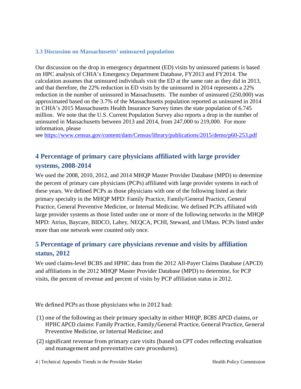### <span id="page-5-0"></span>**3.3 Discussion on Massachusetts' uninsured population**

Our discussion on the drop in emergency department (ED) visits by uninsured patients is based on HPC analysis of CHIA's Emergency Department Database, FY2013 and FY2014. The calculation assumes that uninsured individuals visit the ED at the same rate as they did in 2013, and that therefore, the 22% reduction in ED visits by the uninsured in 2014 represents a 22% reduction in the number of uninsured in Massachusetts. The number of uninsured (250,000) was approximated based on the 3.7% of the Massachusetts population reported as uninsured in 2014 in CHIA's 2015 Massachusetts Health Insurance Survey times the state population of 6.745 million. We note that the U.S. Current Population Survey also reports a drop in the number of uninsured in Massachusetts between 2013 and 2014, from 247,000 to 219,000. For more information, please

see<https://www.census.gov/content/dam/Census/library/publications/2015/demo/p60-253.pdf>

# <span id="page-5-1"></span>**4 Percentage of primary care physicians affiliated with large provider systems, 2008-2014**

We used the 2008, 2010, 2012, and 2014 MHQP Master Provider Database (MPD) to determine the percent of primary care physicians (PCPs) affiliated with large provider systems in each of these years. We defined PCPs as those physicians with one of the following listed as their primary specialty in the MHQP MPD: Family Practice, Family/General Practice, General Practice, General Preventive Medicine, or Internal Medicine. We defined PCPs affiliated with large provider systems as those listed under one or more of the following networks in the MHQP MPD: Atrius, Baycare, BIDCO, Lahey, NEQCA, PCHI, Steward, and UMass. PCPs listed under more than one network were counted only once.

## <span id="page-5-2"></span>**5 Percentage of primary care physicians revenue and visits by affiliation status, 2012**

We used claims-level BCBS and HPHC data from the 2012 All-Payer Claims Database (APCD) and affiliations in the 2012 MHQP Master Provider Database (MPD) to determine, for PCP visits, the percent of revenue and percent of visits by PCP affiliation status in 2012.

We defined PCPs as those physicians who in 2012 had:

- (1) one of the following as their primary specialty in either MHQP, BCBS APCD claims, or HPHC APCD claims: Family Practice, Family/General Practice, General Practice, General Preventive Medicine, or Internal Medicine; and
- (2) significant revenue from primary care visits (based on CPT codes reflecting evaluation and management and preventative care procedures).